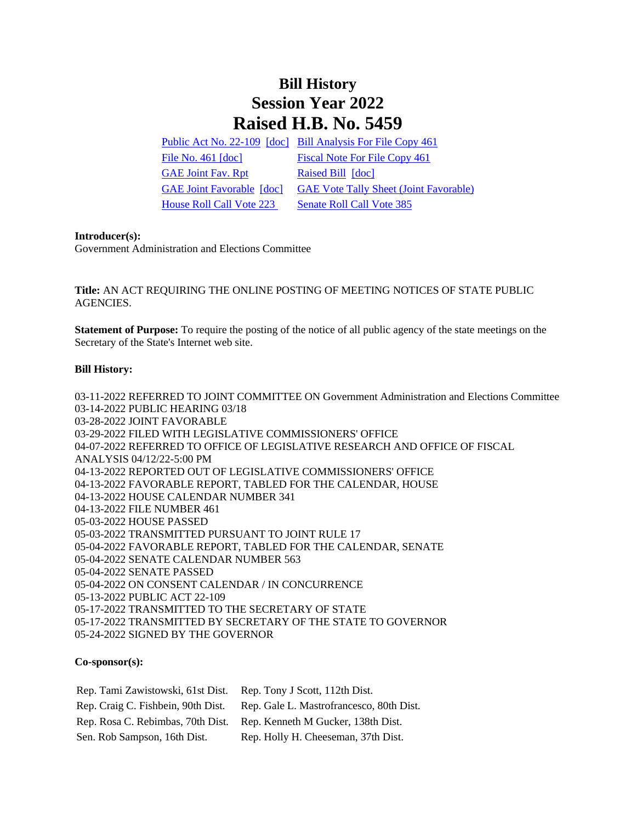## **Bill History Session Year 2022 Raised H.B. No. 5459**

[Public Act No. 22-109](/2022/ACT/PA/PDF/2022PA-00109-R00HB-05459-PA.PDF) [\[doc\]](https://search.cga.state.ct.us/dl2022/PA/DOC/2022PA-00109-R00HB-05459-PA.DOCX) [Bill Analysis For File Copy 461](/2022/BA/PDF/2022HB-05459-R000461-BA.PDF) [File No. 461](/2022/FC/PDF/2022HB-05459-R000461-FC.PDF) [\[doc\]](https://search.cga.state.ct.us/dl2022/fc/doc/2022HB-05459-R000461-FC.docx) [Fiscal Note For File Copy 461](/2022/FN/PDF/2022HB-05459-R000461-FN.PDF) [GAE Joint Fav. Rpt](/2022/JFR/H/PDF/2022HB-05459-R00GAE-JFR.PDF) [Raised Bill](/2022/TOB/H/PDF/2022HB-05459-R00-HB.PDF) [\[doc\]](https://search.cga.state.ct.us/dl2022/TOB/DOC/2022HB-05459-R00-HB.DOCX) [GAE Joint Favorable](/2022/TOB/H/PDF/2022HB-05459-R01-HB.PDF) [\[doc\]](https://search.cga.state.ct.us/dl2022/TOB/DOC/2022HB-05459-R01-HB.DOCX) [GAE Vote Tally Sheet \(Joint Favorable\)](/2022/TS/H/PDF/2022HB-05459-R00GAE-CV42-TS.PDF) [House Roll Call Vote 223](/2022/VOTE/H/PDF/2022HV-00223-R00HB05459-HV.PDF) Senate Roll Call Vote 385

## **Introducer(s):**

Government Administration and Elections Committee

**Title:** AN ACT REQUIRING THE ONLINE POSTING OF MEETING NOTICES OF STATE PUBLIC AGENCIES.

**Statement of Purpose:** To require the posting of the notice of all public agency of the state meetings on the Secretary of the State's Internet web site.

## **Bill History:**

03-11-2022 REFERRED TO JOINT COMMITTEE ON Government Administration and Elections Committee 03-14-2022 PUBLIC HEARING 03/18 03-28-2022 JOINT FAVORABLE 03-29-2022 FILED WITH LEGISLATIVE COMMISSIONERS' OFFICE 04-07-2022 REFERRED TO OFFICE OF LEGISLATIVE RESEARCH AND OFFICE OF FISCAL ANALYSIS 04/12/22-5:00 PM 04-13-2022 REPORTED OUT OF LEGISLATIVE COMMISSIONERS' OFFICE 04-13-2022 FAVORABLE REPORT, TABLED FOR THE CALENDAR, HOUSE 04-13-2022 HOUSE CALENDAR NUMBER 341 04-13-2022 FILE NUMBER 461 05-03-2022 HOUSE PASSED 05-03-2022 TRANSMITTED PURSUANT TO JOINT RULE 17 05-04-2022 FAVORABLE REPORT, TABLED FOR THE CALENDAR, SENATE 05-04-2022 SENATE CALENDAR NUMBER 563 05-04-2022 SENATE PASSED 05-04-2022 ON CONSENT CALENDAR / IN CONCURRENCE 05-13-2022 PUBLIC ACT 22-109 05-17-2022 TRANSMITTED TO THE SECRETARY OF STATE 05-17-2022 TRANSMITTED BY SECRETARY OF THE STATE TO GOVERNOR 05-24-2022 SIGNED BY THE GOVERNOR

## **Co-sponsor(s):**

| Rep. Tami Zawistowski, 61st Dist.  | Rep. Tony J Scott, 112th Dist.           |
|------------------------------------|------------------------------------------|
| Rep. Craig C. Fishbein, 90th Dist. | Rep. Gale L. Mastrofrancesco, 80th Dist. |
| Rep. Rosa C. Rebimbas, 70th Dist.  | Rep. Kenneth M Gucker, 138th Dist.       |
| Sen. Rob Sampson, 16th Dist.       | Rep. Holly H. Cheeseman, 37th Dist.      |